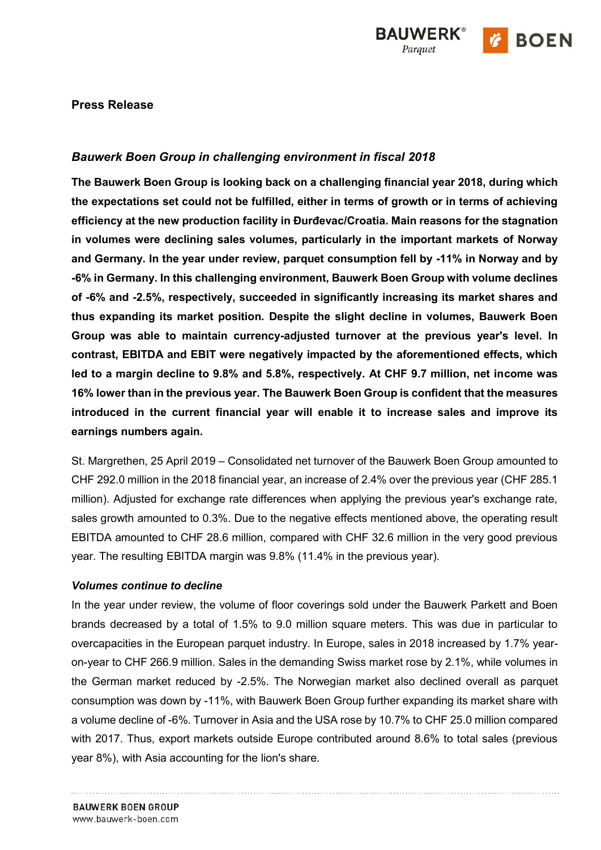

## **Press Release**

# *Bauwerk Boen Group in challenging environment in fiscal 2018*

**The Bauwerk Boen Group is looking back on a challenging financial year 2018, during which the expectations set could not be fulfilled, either in terms of growth or in terms of achieving efficiency at the new production facility in Đurđevac/Croatia. Main reasons for the stagnation in volumes were declining sales volumes, particularly in the important markets of Norway and Germany. In the year under review, parquet consumption fell by -11% in Norway and by -6% in Germany. In this challenging environment, Bauwerk Boen Group with volume declines of -6% and -2.5%, respectively, succeeded in significantly increasing its market shares and thus expanding its market position. Despite the slight decline in volumes, Bauwerk Boen Group was able to maintain currency-adjusted turnover at the previous year's level. In contrast, EBITDA and EBIT were negatively impacted by the aforementioned effects, which led to a margin decline to 9.8% and 5.8%, respectively. At CHF 9.7 million, net income was 16% lower than in the previous year. The Bauwerk Boen Group is confident that the measures introduced in the current financial year will enable it to increase sales and improve its earnings numbers again.**

St. Margrethen, 25 April 2019 – Consolidated net turnover of the Bauwerk Boen Group amounted to CHF 292.0 million in the 2018 financial year, an increase of 2.4% over the previous year (CHF 285.1 million). Adjusted for exchange rate differences when applying the previous year's exchange rate, sales growth amounted to 0.3%. Due to the negative effects mentioned above, the operating result EBITDA amounted to CHF 28.6 million, compared with CHF 32.6 million in the very good previous year. The resulting EBITDA margin was 9.8% (11.4% in the previous year).

#### *Volumes continue to decline*

In the year under review, the volume of floor coverings sold under the Bauwerk Parkett and Boen brands decreased by a total of 1.5% to 9.0 million square meters. This was due in particular to overcapacities in the European parquet industry. In Europe, sales in 2018 increased by 1.7% yearon-year to CHF 266.9 million. Sales in the demanding Swiss market rose by 2.1%, while volumes in the German market reduced by -2.5%. The Norwegian market also declined overall as parquet consumption was down by -11%, with Bauwerk Boen Group further expanding its market share with a volume decline of -6%. Turnover in Asia and the USA rose by 10.7% to CHF 25.0 million compared with 2017. Thus, export markets outside Europe contributed around 8.6% to total sales (previous year 8%), with Asia accounting for the lion's share.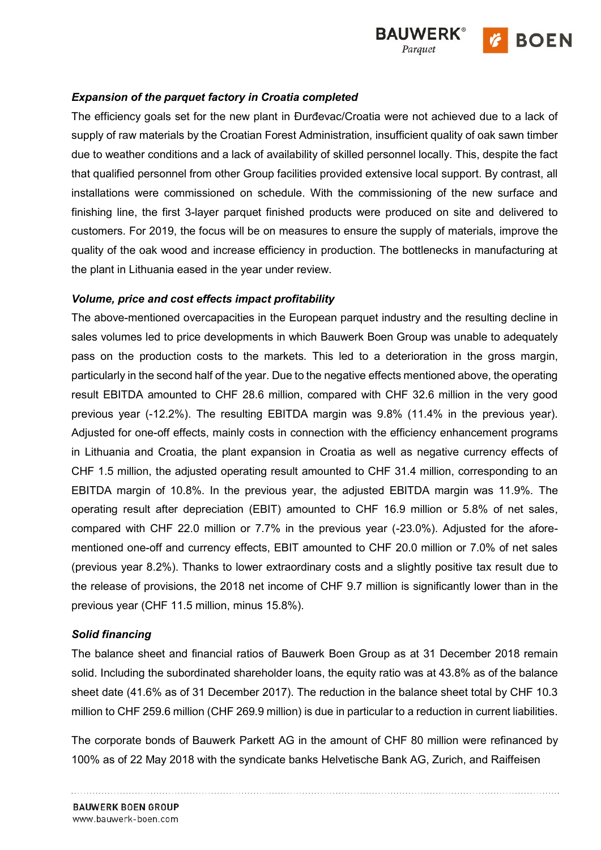

# *Expansion of the parquet factory in Croatia completed*

The efficiency goals set for the new plant in Đurđevac/Croatia were not achieved due to a lack of supply of raw materials by the Croatian Forest Administration, insufficient quality of oak sawn timber due to weather conditions and a lack of availability of skilled personnel locally. This, despite the fact that qualified personnel from other Group facilities provided extensive local support. By contrast, all installations were commissioned on schedule. With the commissioning of the new surface and finishing line, the first 3-layer parquet finished products were produced on site and delivered to customers. For 2019, the focus will be on measures to ensure the supply of materials, improve the quality of the oak wood and increase efficiency in production. The bottlenecks in manufacturing at the plant in Lithuania eased in the year under review.

# *Volume, price and cost effects impact profitability*

The above-mentioned overcapacities in the European parquet industry and the resulting decline in sales volumes led to price developments in which Bauwerk Boen Group was unable to adequately pass on the production costs to the markets. This led to a deterioration in the gross margin, particularly in the second half of the year. Due to the negative effects mentioned above, the operating result EBITDA amounted to CHF 28.6 million, compared with CHF 32.6 million in the very good previous year (-12.2%). The resulting EBITDA margin was 9.8% (11.4% in the previous year). Adjusted for one-off effects, mainly costs in connection with the efficiency enhancement programs in Lithuania and Croatia, the plant expansion in Croatia as well as negative currency effects of CHF 1.5 million, the adjusted operating result amounted to CHF 31.4 million, corresponding to an EBITDA margin of 10.8%. In the previous year, the adjusted EBITDA margin was 11.9%. The operating result after depreciation (EBIT) amounted to CHF 16.9 million or 5.8% of net sales, compared with CHF 22.0 million or 7.7% in the previous year (-23.0%). Adjusted for the aforementioned one-off and currency effects, EBIT amounted to CHF 20.0 million or 7.0% of net sales (previous year 8.2%). Thanks to lower extraordinary costs and a slightly positive tax result due to the release of provisions, the 2018 net income of CHF 9.7 million is significantly lower than in the previous year (CHF 11.5 million, minus 15.8%).

### *Solid financing*

The balance sheet and financial ratios of Bauwerk Boen Group as at 31 December 2018 remain solid. Including the subordinated shareholder loans, the equity ratio was at 43.8% as of the balance sheet date (41.6% as of 31 December 2017). The reduction in the balance sheet total by CHF 10.3 million to CHF 259.6 million (CHF 269.9 million) is due in particular to a reduction in current liabilities.

The corporate bonds of Bauwerk Parkett AG in the amount of CHF 80 million were refinanced by 100% as of 22 May 2018 with the syndicate banks Helvetische Bank AG, Zurich, and Raiffeisen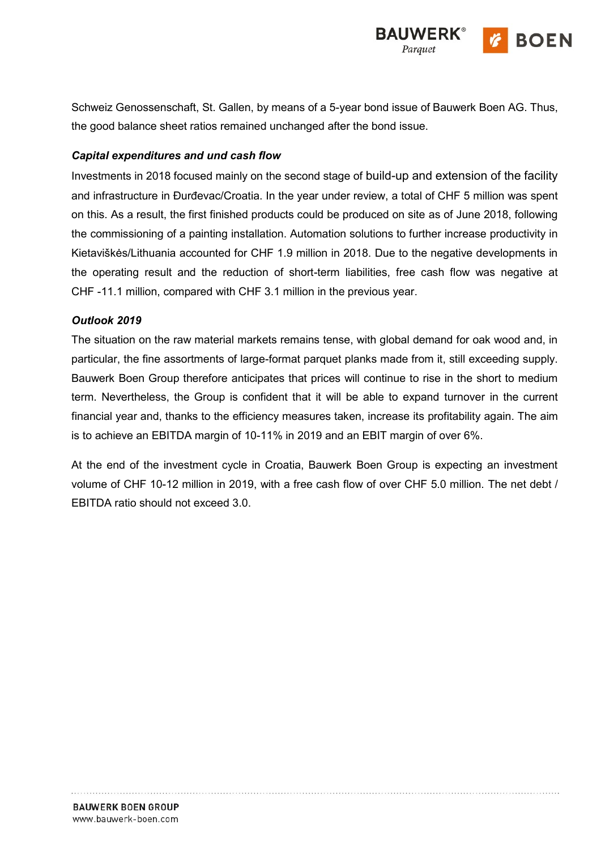

Schweiz Genossenschaft, St. Gallen, by means of a 5-year bond issue of Bauwerk Boen AG. Thus, the good balance sheet ratios remained unchanged after the bond issue.

## *Capital expenditures and und cash flow*

Investments in 2018 focused mainly on the second stage of build-up and extension of the facility and infrastructure in Đurđevac/Croatia. In the year under review, a total of CHF 5 million was spent on this. As a result, the first finished products could be produced on site as of June 2018, following the commissioning of a painting installation. Automation solutions to further increase productivity in Kietaviškės/Lithuania accounted for CHF 1.9 million in 2018. Due to the negative developments in the operating result and the reduction of short-term liabilities, free cash flow was negative at CHF -11.1 million, compared with CHF 3.1 million in the previous year.

### *Outlook 2019*

The situation on the raw material markets remains tense, with global demand for oak wood and, in particular, the fine assortments of large-format parquet planks made from it, still exceeding supply. Bauwerk Boen Group therefore anticipates that prices will continue to rise in the short to medium term. Nevertheless, the Group is confident that it will be able to expand turnover in the current financial year and, thanks to the efficiency measures taken, increase its profitability again. The aim is to achieve an EBITDA margin of 10-11% in 2019 and an EBIT margin of over 6%.

At the end of the investment cycle in Croatia, Bauwerk Boen Group is expecting an investment volume of CHF 10-12 million in 2019, with a free cash flow of over CHF 5.0 million. The net debt / EBITDA ratio should not exceed 3.0.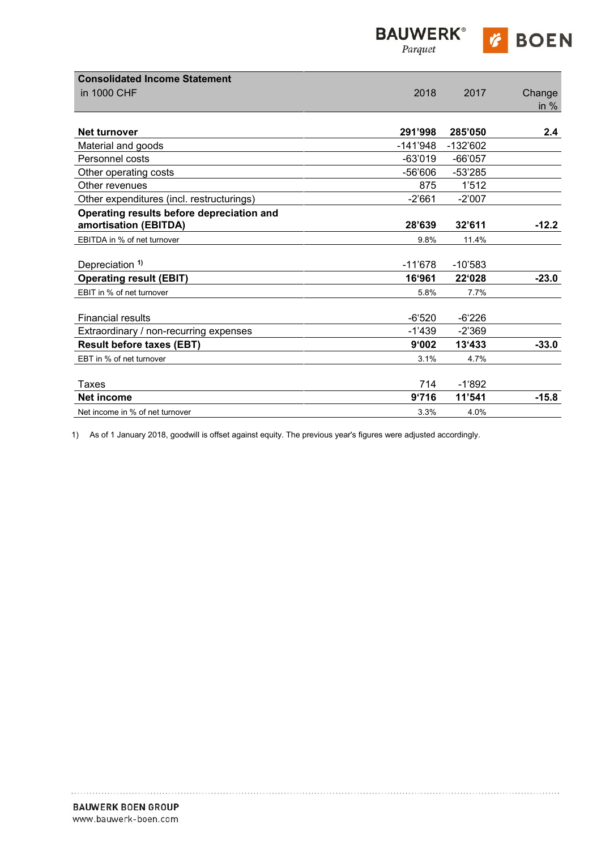| <b>BAUWERK®</b> |  |
|-----------------|--|
| Parquet         |  |

|  | <b>BOEN</b> |  |
|--|-------------|--|
|--|-------------|--|

| <b>Consolidated Income Statement</b>      |            |            |         |
|-------------------------------------------|------------|------------|---------|
| in 1000 CHF                               | 2018       | 2017       | Change  |
|                                           |            |            | in $%$  |
|                                           |            |            |         |
| <b>Net turnover</b>                       | 291'998    | 285'050    | 2.4     |
| Material and goods                        | $-141'948$ | $-132'602$ |         |
| Personnel costs                           | $-63'019$  | $-66'057$  |         |
| Other operating costs                     | $-56'606$  | $-53'285$  |         |
| Other revenues                            | 875        | 1'512      |         |
| Other expenditures (incl. restructurings) | $-2'661$   | $-2'007$   |         |
| Operating results before depreciation and |            |            |         |
| amortisation (EBITDA)                     | 28'639     | 32'611     | $-12.2$ |
| EBITDA in % of net turnover               | 9.8%       | 11.4%      |         |
|                                           |            |            |         |
| Depreciation <sup>1)</sup>                | $-11'678$  | $-10'583$  |         |
| <b>Operating result (EBIT)</b>            | 16'961     | 22'028     | $-23.0$ |
| EBIT in % of net turnover                 | 5.8%       | 7.7%       |         |
|                                           |            |            |         |
| <b>Financial results</b>                  | $-6.520$   | $-6'226$   |         |
| Extraordinary / non-recurring expenses    | $-1'439$   | $-2'369$   |         |
| <b>Result before taxes (EBT)</b>          | 9'002      | 13'433     | $-33.0$ |
| EBT in % of net turnover                  | 3.1%       | 4.7%       |         |
|                                           |            |            |         |
| Taxes                                     | 714        | $-1'892$   |         |
| <b>Net income</b>                         | 9'716      | 11'541     | $-15.8$ |
| Net income in % of net turnover           | 3.3%       | 4.0%       |         |

1) As of 1 January 2018, goodwill is offset against equity. The previous year's figures were adjusted accordingly.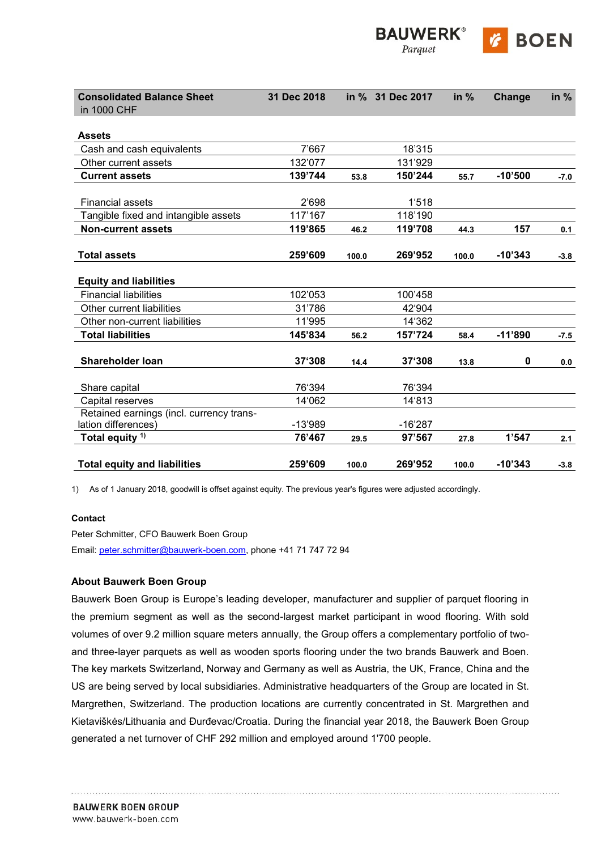| <b>Consolidated Balance Sheet</b><br>in 1000 CHF                | 31 Dec 2018 |       | in % 31 Dec 2017 | in $%$ | Change    | in $%$ |
|-----------------------------------------------------------------|-------------|-------|------------------|--------|-----------|--------|
| <b>Assets</b>                                                   |             |       |                  |        |           |        |
| Cash and cash equivalents                                       | 7'667       |       | 18'315           |        |           |        |
| Other current assets                                            | 132'077     |       | 131'929          |        |           |        |
| <b>Current assets</b>                                           | 139'744     | 53.8  | 150'244          | 55.7   | $-10'500$ | $-7.0$ |
| <b>Financial assets</b>                                         | 2'698       |       | 1'518            |        |           |        |
| Tangible fixed and intangible assets                            | 117'167     |       | 118'190          |        |           |        |
| <b>Non-current assets</b>                                       | 119'865     | 46.2  | 119'708          | 44.3   | 157       | 0.1    |
| <b>Total assets</b>                                             | 259'609     | 100.0 | 269'952          | 100.0  | $-10'343$ | $-3.8$ |
| <b>Equity and liabilities</b>                                   |             |       |                  |        |           |        |
| <b>Financial liabilities</b>                                    | 102'053     |       | 100'458          |        |           |        |
| Other current liabilities                                       | 31'786      |       | 42'904           |        |           |        |
| Other non-current liabilities                                   | 11'995      |       | 14'362           |        |           |        |
| <b>Total liabilities</b>                                        | 145'834     | 56.2  | 157'724          | 58.4   | $-11'890$ | $-7.5$ |
| <b>Shareholder loan</b>                                         | 37'308      | 14.4  | 37'308           | 13.8   | 0         | 0.0    |
| Share capital                                                   | 76'394      |       | 76'394           |        |           |        |
| Capital reserves                                                | 14'062      |       | 14'813           |        |           |        |
| Retained earnings (incl. currency trans-<br>lation differences) | $-13'989$   |       | $-16'287$        |        |           |        |
| Total equity <sup>1)</sup>                                      | 76'467      | 29.5  | 97'567           | 27.8   | 1'547     | 2.1    |
| <b>Total equity and liabilities</b>                             | 259'609     | 100.0 | 269'952          | 100.0  | $-10'343$ | $-3.8$ |

**UWERK®** 

Parquet

**BOEN** 

1) As of 1 January 2018, goodwill is offset against equity. The previous year's figures were adjusted accordingly.

#### **Contact**

Peter Schmitter, CFO Bauwerk Boen Group Email: [peter.schmitter@bauwerk-boen.com,](mailto:peter.schmitter@bauwerk-boen.com) phone +41 71 747 72 94

#### **About Bauwerk Boen Group**

Bauwerk Boen Group is Europe's leading developer, manufacturer and supplier of parquet flooring in the premium segment as well as the second-largest market participant in wood flooring. With sold volumes of over 9.2 million square meters annually, the Group offers a complementary portfolio of twoand three-layer parquets as well as wooden sports flooring under the two brands Bauwerk and Boen. The key markets Switzerland, Norway and Germany as well as Austria, the UK, France, China and the US are being served by local subsidiaries. Administrative headquarters of the Group are located in St. Margrethen, Switzerland. The production locations are currently concentrated in St. Margrethen and Kietaviškės/Lithuania and Đurđevac/Croatia. During the financial year 2018, the Bauwerk Boen Group generated a net turnover of CHF 292 million and employed around 1'700 people.